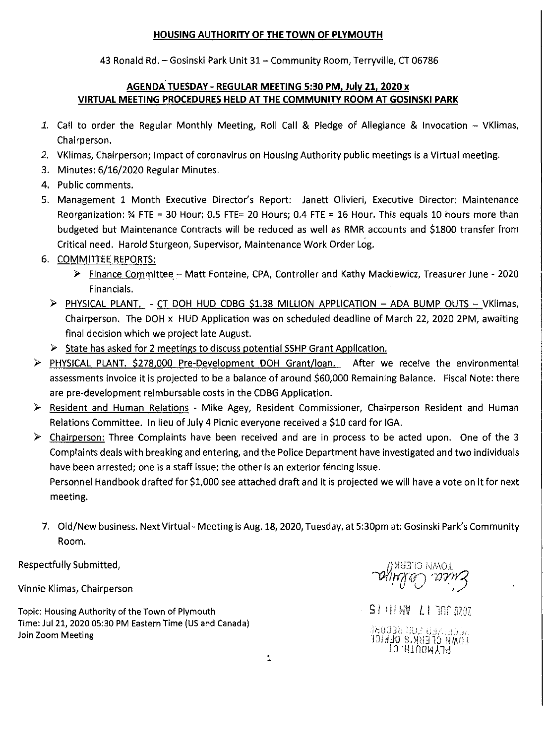## **HOUSING AUTHORITY OF THE TOWN OF PLYMOUTH**

43 Ronald Rd. - Gosinski Park Unit 31 - Community Room, Terryville, CT 06786

## **AGENDA TUESDAY - REGULAR MEETING 5:30 PM, July 21, 2020 x VIRTUAL MEETING PROCEDURES HELD AT THE COMMUNITY ROOM AT GOSINSKI PARK**

- 1. Call to order the Regular Monthly Meeting, Roll Call & Pledge of Allegiance & Invocation VKlimas, Chairperson.
- *2.*  VKlimas, Chairperson; Impact of coronavirus on Housing Authority public meetings is a Virtual meeting.
- 3. Minutes: 6/16/2020 Regular Minutes.
- 4. Public comments.
- 5. Management 1 Month Executive Director's Report: Janett Olivieri, Executive Director: Maintenance Reorganization:  $\frac{3}{4}$  FTE = 30 Hour; 0.5 FTE= 20 Hours; 0.4 FTE = 16 Hour. This equals 10 hours more than budgeted but Maintenance Contracts will be reduced as well as RMR accounts and \$1800 transfer from Critical need. Harold Sturgeon, Supervisor, Maintenance Work Order Log.
- 6. COMMITTEE REPORTS:
	- )>- Finance Committee Matt Fontaine, CPA, Controller and Kathy Mackiewicz, Treasurer June 2020 Financials.
	- )>- PHYSICAL PLANT. CT DOH HUD CDBG \$1.38 MILLION APPLICATION ADA BUMP OUTS VKllmas, Chairperson. The DOH x HUD Application was on scheduled deadline of March 22, 2020 2PM, awaiting final decision which we project late August.
	- $\triangleright$  State has asked for 2 meetings to discuss potential SSHP Grant Application.
- )>- PHYSICAL PLANT. \$278.000 Pre-Development DOH Grant/loan. After we receive the environmental assessments invoice it is projected to be a balance of around \$60,000 Remaining Balance. Fiscal Note: there are pre-development reimbursable costs in the CDBG Application.
- )>- Resident and Human Relations Mike Agey, Resident Commissioner, Chairperson Resident and Human Relations Committee. In lieu of July 4 Picnic everyone received a \$10 card for IGA.
- $\triangleright$  Chairperson: Three Complaints have been received and are in process to be acted upon. One of the 3 Complaints deals with breaking and entering, and the Police Department have investigated and two individuals have been arrested; one is a staff issue; the other is an exterior fencing issue. Personnel Handbook drafted for \$1,000 see attached draft and it is projected we will have a vote on it for next meeting.
	- 7. Old/New business. Next Virtual Meeting is Aug. 18, 2020, Tuesday, at 5:30pm at: Gosinski Park's Community Room.

Respectfully Submitted,

Vinnie Klimas, Chairperson

Topic: Housing Authority of the Town of Plymouth Time: Jul 21, 2020 05:30 PM Eastern Time (US and Canada) Join Zoom Meeting

IOMU CEEKK

SI HINY LI TOP OZOZ

1960BB ADE ОЛИГОСЫ **JOHAO S. NUJTO NAOJ TO HINOWATH**